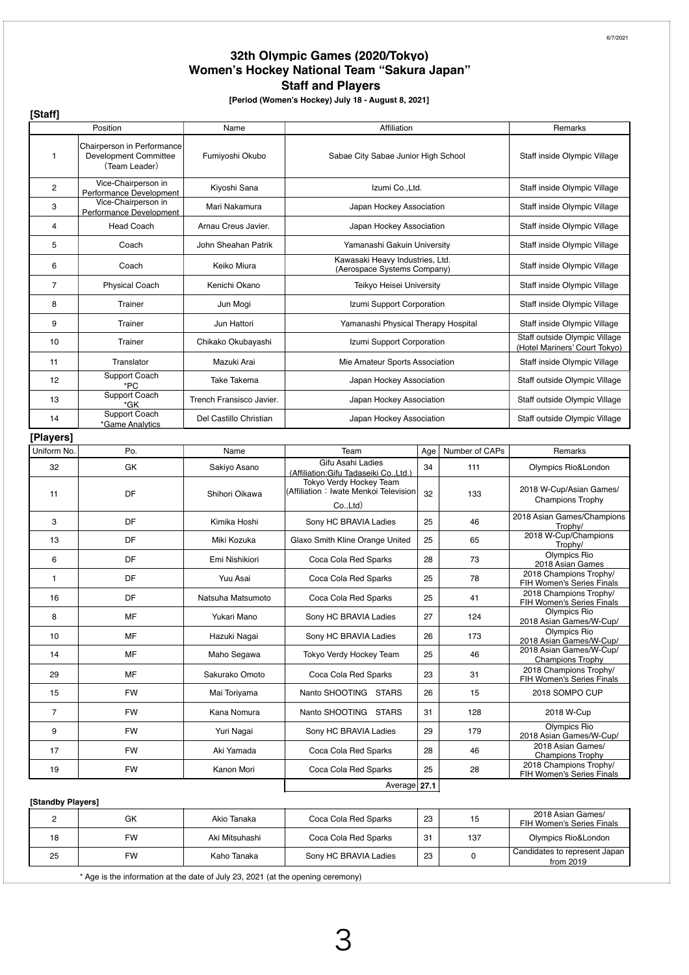## **32th Olympic Games (2020/Tokyo) Women's Hockey National Team "Sakura Japan" Staff and Players**

**[Period (Women's Hockey) July 18 - August 8, 2021]**

**[Staff]**

| נייטיין           |                                                                      |                          |                                                                                   |     |                |                                                                |
|-------------------|----------------------------------------------------------------------|--------------------------|-----------------------------------------------------------------------------------|-----|----------------|----------------------------------------------------------------|
|                   | Position                                                             | Name                     | Affiliation                                                                       |     |                | Remarks                                                        |
| 1                 | Chairperson in Performance<br>Development Committee<br>(Team Leader) | Fumiyoshi Okubo          | Sabae City Sabae Junior High School                                               |     |                | Staff inside Olympic Village                                   |
| 2                 | Vice-Chairperson in<br>Performance Development                       | Kiyoshi Sana             | Izumi Co., Ltd.                                                                   |     |                | Staff inside Olympic Village                                   |
| 3                 | Vice-Chairperson in<br>Performance Development                       | Mari Nakamura            | Japan Hockey Association                                                          |     |                | Staff inside Olympic Village                                   |
| 4                 | <b>Head Coach</b>                                                    | Arnau Creus Javier.      | Japan Hockey Association                                                          |     |                | Staff inside Olympic Village                                   |
| 5                 | Coach                                                                | John Sheahan Patrik      | Yamanashi Gakuin University                                                       |     |                | Staff inside Olympic Village                                   |
| 6                 | Coach                                                                | Keiko Miura              | Kawasaki Heavy Industries, Ltd.<br>(Aerospace Systems Company)                    |     |                | Staff inside Olympic Village                                   |
| 7                 | <b>Physical Coach</b>                                                | Kenichi Okano            | Teikyo Heisei University                                                          |     |                | Staff inside Olympic Village                                   |
| 8                 | Trainer                                                              | Jun Mogi                 | Izumi Support Corporation                                                         |     |                | Staff inside Olympic Village                                   |
| 9                 | Trainer                                                              | Jun Hattori              | Yamanashi Physical Therapy Hospital                                               |     |                | Staff inside Olympic Village                                   |
| 10                | Trainer                                                              | Chikako Okubayashi       | Izumi Support Corporation                                                         |     |                | Staff outside Olympic Village<br>(Hotel Mariners' Court Tokyo) |
| 11                | Translator                                                           | Mazuki Arai              | Mie Amateur Sports Association                                                    |     |                | Staff inside Olympic Village                                   |
| 12                | Support Coach<br>*PC                                                 | <b>Take Takema</b>       | Japan Hockey Association                                                          |     |                | Staff outside Olympic Village                                  |
| 13                | Support Coach<br>*GK                                                 | Trench Fransisco Javier. | Japan Hockey Association                                                          |     |                | Staff outside Olympic Village                                  |
| 14                | <b>Support Coach</b><br>*Game Analytics                              | Del Castillo Christian   | Japan Hockey Association                                                          |     |                | Staff outside Olympic Village                                  |
| [Players]         |                                                                      |                          |                                                                                   |     |                |                                                                |
| Uniform No.       | Po.                                                                  | Name                     | Team                                                                              | Age | Number of CAPs | Remarks                                                        |
| 32                | GK                                                                   | Sakiyo Asano             | Gifu Asahi Ladies<br>(Affiliation:Gifu Tadaseiki Co.,Ltd.)                        | 34  | 111            | Olympics Rio&London                                            |
| 11                | DF                                                                   | Shihori Oikawa           | Tokyo Verdy Hockey Team<br>(Affiliation: Iwate Menkoi Television<br>$Co.$ Ltd $)$ | 32  | 133            | 2018 W-Cup/Asian Games/<br><b>Champions Trophy</b>             |
| 3                 | DF                                                                   | Kimika Hoshi             | Sony HC BRAVIA Ladies                                                             | 25  | 46             | 2018 Asian Games/Champions<br>Trophy/                          |
| 13                | DF                                                                   | Miki Kozuka              | Glaxo Smith Kline Orange United                                                   | 25  | 65             | 2018 W-Cup/Champions<br>Trophy/                                |
| 6                 | DF                                                                   | Emi Nishikiori           | Coca Cola Red Sparks                                                              | 28  | 73             | Olympics Rio<br>2018 Asian Games                               |
| 1                 | DF                                                                   | Yuu Asai                 | Coca Cola Red Sparks                                                              | 25  | 78             | 2018 Champions Trophy/<br>FIH Women's Series Finals            |
| 16                | DF                                                                   | Natsuha Matsumoto        | Coca Cola Red Sparks                                                              | 25  | 41             | 2018 Champions Trophy/<br>FIH Women's Series Finals            |
| 8                 | MF                                                                   | Yukari Mano              | Sony HC BRAVIA Ladies                                                             | 27  | 124            | Olympics Rio<br>2018 Asian Games/W-Cup/                        |
| 10                | MF                                                                   | Hazuki Nagai             | Sony HC BRAVIA Ladies                                                             | 26  | 173            | Olympics Rio<br>2018 Asian Games/W-Cup/                        |
| 14                | MF                                                                   | Maho Segawa              | Tokyo Verdy Hockey Team                                                           | 25  | 46             | 2018 Asian Games/W-Cup/<br><b>Champions Trophy</b>             |
| 29                | MF                                                                   | Sakurako Omoto           | Coca Cola Red Sparks                                                              | 23  | 31             | 2018 Champions Trophy/<br>FIH Women's Series Finals            |
| 15                | <b>FW</b>                                                            | Mai Toriyama             | Nanto SHOOTING STARS                                                              | 26  | 15             | 2018 SOMPO CUP                                                 |
| 7                 | <b>FW</b>                                                            | Kana Nomura              | Nanto SHOOTING STARS                                                              | 31  | 128            | 2018 W-Cup                                                     |
| 9                 | <b>FW</b>                                                            | Yuri Nagai               | Sony HC BRAVIA Ladies                                                             | 29  | 179            | Olympics Rio<br>2018 Asian Games/W-Cup/                        |
| 17                | <b>FW</b>                                                            | Aki Yamada               | Coca Cola Red Sparks                                                              | 28  | 46             | 2018 Asian Games/<br><b>Champions Trophy</b>                   |
| 19                | <b>FW</b>                                                            | Kanon Mori               | Coca Cola Red Sparks                                                              | 25  | 28             | 2018 Champions Trophy/<br>FIH Women's Series Finals            |
| 27.1<br>Average   |                                                                      |                          |                                                                                   |     |                |                                                                |
| [Standby Players] |                                                                      |                          |                                                                                   |     |                |                                                                |
|                   |                                                                      |                          |                                                                                   |     |                | 2018 Asian Games/                                              |

## 2 GK Akio Tanaka Coca Cola Red Sparks 23 15 2018 Asian Games zut a Asian Games/<br>FIH Women's Series Finals 18 | FW | Aki Mitsuhashi | Coca Cola Red Sparks | 31 | 137 | Olympics Rio&London 25 FW Kaho Tanaka Sony HC BRAVIA Ladies 23 0 Candidates to represent Japan from 2019

\* Age is the information at the date of July 23, 2021 (at the opening ceremony)